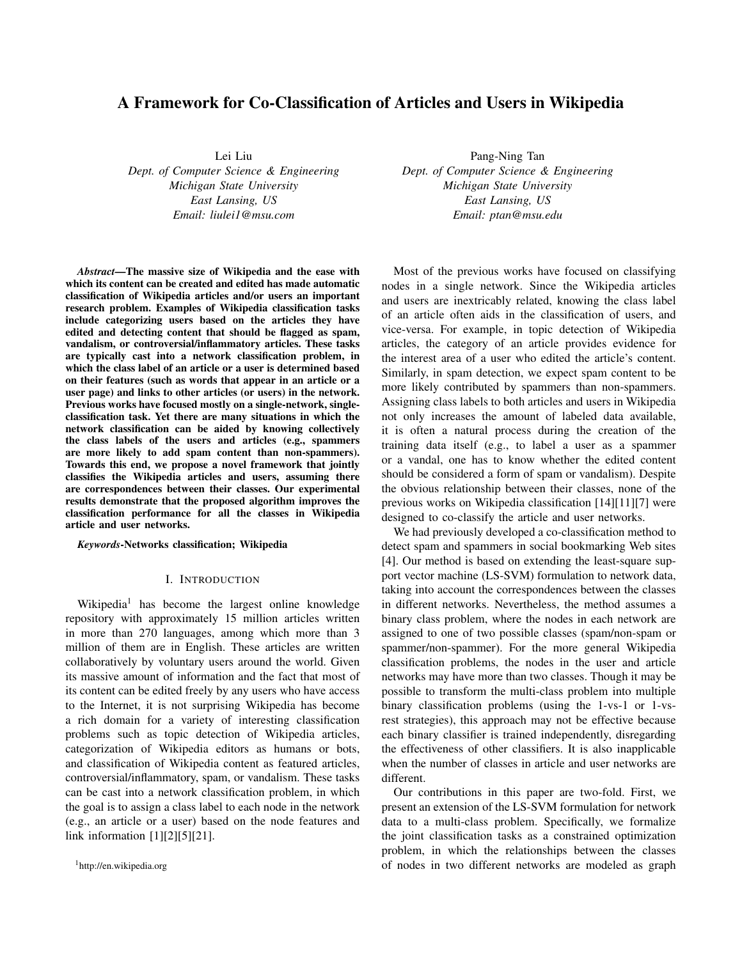# A Framework for Co-Classification of Articles and Users in Wikipedia

Lei Liu *Dept. of Computer Science & Engineering Michigan State University East Lansing, US Email: liulei1@msu.com*

*Abstract*—The massive size of Wikipedia and the ease with which its content can be created and edited has made automatic classification of Wikipedia articles and/or users an important research problem. Examples of Wikipedia classification tasks include categorizing users based on the articles they have edited and detecting content that should be flagged as spam, vandalism, or controversial/inflammatory articles. These tasks are typically cast into a network classification problem, in which the class label of an article or a user is determined based on their features (such as words that appear in an article or a user page) and links to other articles (or users) in the network. Previous works have focused mostly on a single-network, singleclassification task. Yet there are many situations in which the network classification can be aided by knowing collectively the class labels of the users and articles (e.g., spammers are more likely to add spam content than non-spammers). Towards this end, we propose a novel framework that jointly classifies the Wikipedia articles and users, assuming there are correspondences between their classes. Our experimental results demonstrate that the proposed algorithm improves the classification performance for all the classes in Wikipedia article and user networks.

*Keywords*-Networks classification; Wikipedia

## I. INTRODUCTION

Wikipedia<sup>1</sup> has become the largest online knowledge repository with approximately 15 million articles written in more than 270 languages, among which more than 3 million of them are in English. These articles are written collaboratively by voluntary users around the world. Given its massive amount of information and the fact that most of its content can be edited freely by any users who have access to the Internet, it is not surprising Wikipedia has become a rich domain for a variety of interesting classification problems such as topic detection of Wikipedia articles, categorization of Wikipedia editors as humans or bots, and classification of Wikipedia content as featured articles, controversial/inflammatory, spam, or vandalism. These tasks can be cast into a network classification problem, in which the goal is to assign a class label to each node in the network (e.g., an article or a user) based on the node features and link information [1][2][5][21].

<sup>1</sup>http://en.wikipedia.org

Pang-Ning Tan *Dept. of Computer Science & Engineering Michigan State University East Lansing, US Email: ptan@msu.edu*

Most of the previous works have focused on classifying nodes in a single network. Since the Wikipedia articles and users are inextricably related, knowing the class label of an article often aids in the classification of users, and vice-versa. For example, in topic detection of Wikipedia articles, the category of an article provides evidence for the interest area of a user who edited the article's content. Similarly, in spam detection, we expect spam content to be more likely contributed by spammers than non-spammers. Assigning class labels to both articles and users in Wikipedia not only increases the amount of labeled data available, it is often a natural process during the creation of the training data itself (e.g., to label a user as a spammer or a vandal, one has to know whether the edited content should be considered a form of spam or vandalism). Despite the obvious relationship between their classes, none of the previous works on Wikipedia classification [14][11][7] were designed to co-classify the article and user networks.

We had previously developed a co-classification method to detect spam and spammers in social bookmarking Web sites [4]. Our method is based on extending the least-square support vector machine (LS-SVM) formulation to network data, taking into account the correspondences between the classes in different networks. Nevertheless, the method assumes a binary class problem, where the nodes in each network are assigned to one of two possible classes (spam/non-spam or spammer/non-spammer). For the more general Wikipedia classification problems, the nodes in the user and article networks may have more than two classes. Though it may be possible to transform the multi-class problem into multiple binary classification problems (using the 1-vs-1 or 1-vsrest strategies), this approach may not be effective because each binary classifier is trained independently, disregarding the effectiveness of other classifiers. It is also inapplicable when the number of classes in article and user networks are different.

Our contributions in this paper are two-fold. First, we present an extension of the LS-SVM formulation for network data to a multi-class problem. Specifically, we formalize the joint classification tasks as a constrained optimization problem, in which the relationships between the classes of nodes in two different networks are modeled as graph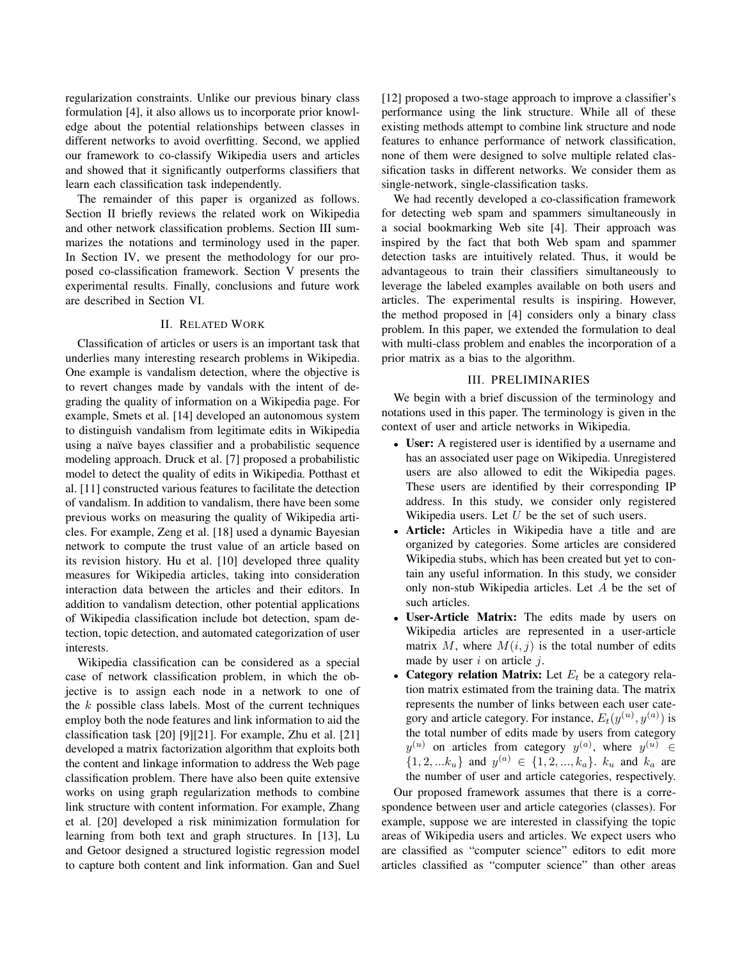regularization constraints. Unlike our previous binary class formulation [4], it also allows us to incorporate prior knowledge about the potential relationships between classes in different networks to avoid overfitting. Second, we applied our framework to co-classify Wikipedia users and articles and showed that it significantly outperforms classifiers that learn each classification task independently.

The remainder of this paper is organized as follows. Section II briefly reviews the related work on Wikipedia and other network classification problems. Section III summarizes the notations and terminology used in the paper. In Section IV, we present the methodology for our proposed co-classification framework. Section V presents the experimental results. Finally, conclusions and future work are described in Section VI.

#### II. RELATED WORK

Classification of articles or users is an important task that underlies many interesting research problems in Wikipedia. One example is vandalism detection, where the objective is to revert changes made by vandals with the intent of degrading the quality of information on a Wikipedia page. For example, Smets et al. [14] developed an autonomous system to distinguish vandalism from legitimate edits in Wikipedia using a naïve bayes classifier and a probabilistic sequence modeling approach. Druck et al. [7] proposed a probabilistic model to detect the quality of edits in Wikipedia. Potthast et al. [11] constructed various features to facilitate the detection of vandalism. In addition to vandalism, there have been some previous works on measuring the quality of Wikipedia articles. For example, Zeng et al. [18] used a dynamic Bayesian network to compute the trust value of an article based on its revision history. Hu et al. [10] developed three quality measures for Wikipedia articles, taking into consideration interaction data between the articles and their editors. In addition to vandalism detection, other potential applications of Wikipedia classification include bot detection, spam detection, topic detection, and automated categorization of user interests.

Wikipedia classification can be considered as a special case of network classification problem, in which the objective is to assign each node in a network to one of the *k* possible class labels. Most of the current techniques employ both the node features and link information to aid the classification task [20] [9][21]. For example, Zhu et al. [21] developed a matrix factorization algorithm that exploits both the content and linkage information to address the Web page classification problem. There have also been quite extensive works on using graph regularization methods to combine link structure with content information. For example, Zhang et al. [20] developed a risk minimization formulation for learning from both text and graph structures. In [13], Lu and Getoor designed a structured logistic regression model to capture both content and link information. Gan and Suel [12] proposed a two-stage approach to improve a classifier's performance using the link structure. While all of these existing methods attempt to combine link structure and node features to enhance performance of network classification, none of them were designed to solve multiple related classification tasks in different networks. We consider them as single-network, single-classification tasks.

We had recently developed a co-classification framework for detecting web spam and spammers simultaneously in a social bookmarking Web site [4]. Their approach was inspired by the fact that both Web spam and spammer detection tasks are intuitively related. Thus, it would be advantageous to train their classifiers simultaneously to leverage the labeled examples available on both users and articles. The experimental results is inspiring. However, the method proposed in [4] considers only a binary class problem. In this paper, we extended the formulation to deal with multi-class problem and enables the incorporation of a prior matrix as a bias to the algorithm.

## III. PRELIMINARIES

We begin with a brief discussion of the terminology and notations used in this paper. The terminology is given in the context of user and article networks in Wikipedia.

- User: A registered user is identified by a username and has an associated user page on Wikipedia. Unregistered users are also allowed to edit the Wikipedia pages. These users are identified by their corresponding IP address. In this study, we consider only registered Wikipedia users. Let *U* be the set of such users.
- **Article:** Articles in Wikipedia have a title and are organized by categories. Some articles are considered Wikipedia stubs, which has been created but yet to contain any useful information. In this study, we consider only non-stub Wikipedia articles. Let *A* be the set of such articles.
- *•* User-Article Matrix: The edits made by users on Wikipedia articles are represented in a user-article matrix  $M$ , where  $M(i, j)$  is the total number of edits made by user *i* on article *j*.
- *•* Category relation Matrix: Let *E<sup>t</sup>* be a category relation matrix estimated from the training data. The matrix represents the number of links between each user category and article category. For instance,  $E_t(y^{(u)}, y^{(a)})$  is the total number of edits made by users from category *y*<sup>(*u*)</sup> on articles from category *y*<sup>(*a*)</sup>, where *y*<sup>(*u*)</sup> ∈  $\{1, 2, \ldots, k_u\}$  and  $y^{(a)} \in \{1, 2, \ldots, k_a\}$ .  $k_u$  and  $k_a$  are the number of user and article categories, respectively.

Our proposed framework assumes that there is a correspondence between user and article categories (classes). For example, suppose we are interested in classifying the topic areas of Wikipedia users and articles. We expect users who are classified as "computer science" editors to edit more articles classified as "computer science" than other areas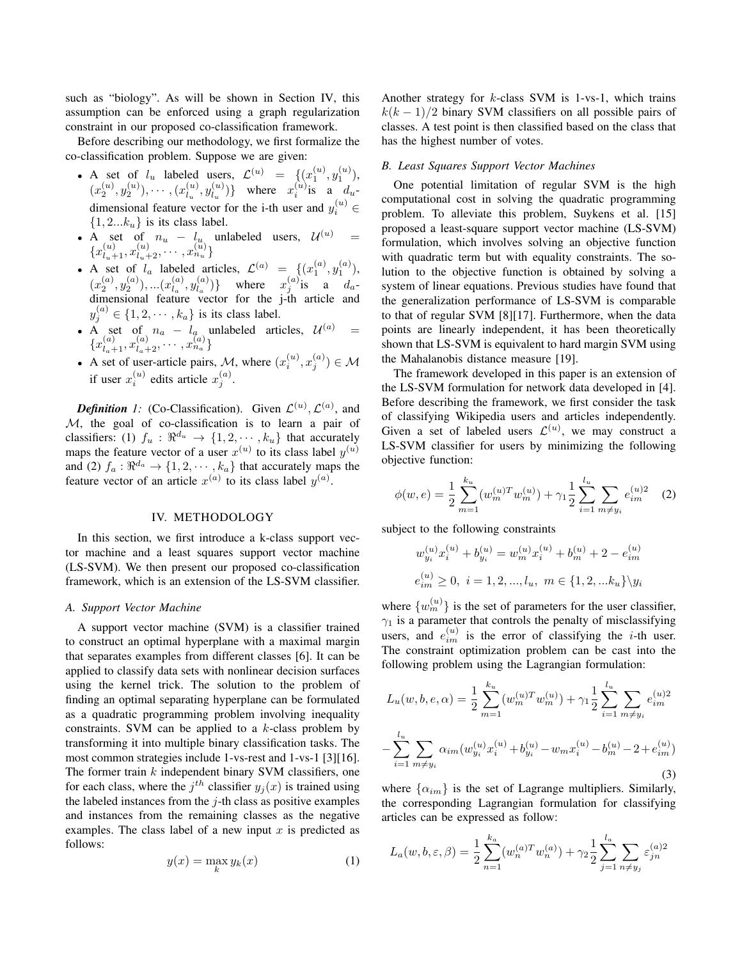such as "biology". As will be shown in Section IV, this assumption can be enforced using a graph regularization constraint in our proposed co-classification framework.

Before describing our methodology, we first formalize the co-classification problem. Suppose we are given:

- A set of  $l_u$  labeled users,  $\mathcal{L}^{(u)} = \{ (x_1^{(u)}, y_1^{(u)}),$  $(x_2^{(u)}, y_2^{(u)}), \cdots, (x_{l_u}^{(u)})$  $y_{l_u}^{(u)}, y_{l_u}^{(u)}$  $\begin{bmatrix} u \\ l_u \end{bmatrix}$ } where  $x_i^{(u)}$  is a  $d_u$ dimensional feature vector for the i-th user and  $y_i^{(u)} \in$  $\{1, 2...k_u\}$  is its class label.
- A set of  $n_u l_u$  unlabeled users,  $U^{(u)} =$  ${x_{l_u+1}^{(u)}, x_{l_u+2}^{(u)}, \cdots, x_{n_u}^{(u)}}$
- A set of  $l_a$  labeled articles,  $\mathcal{L}^{(a)} = \{ (x_1^{(a)}, y_1^{(a)})$ ,  $(x_2^{(a)}, y_2^{(a)}), \ldots, (x_{l_a}^{(a)})$  $y_{l_a}^{(a)}, y_{l_a}^{(a)}$  $\{a \choose l_a}$ } where  $x_j^{(a)}$  is a  $d_a$ dimensional feature vector for the j-th article and  $y_j^{(a)} \in \{1, 2, \cdots, k_a\}$  is its class label.
- A set of  $n_a l_a$  unlabeled articles,  $\mathcal{U}^{(a)} =$  ${x_{l_a+1}^{(a)}, x_{l_a+2}^{(a)}, \cdots, x_{n_a}^{(a)}}$
- A set of user-article pairs, *M*, where  $(x_i^{(u)}, x_j^{(a)}) \in \mathcal{M}$ if user  $x_i^{(u)}$  edits article  $x_j^{(a)}$ .

*Definition 1:* (Co-Classification). Given  $\mathcal{L}^{(u)}$ ,  $\mathcal{L}^{(a)}$ , and *M*, the goal of co-classification is to learn a pair of classifiers: (1)  $f_u$  :  $\Re^{d_u} \to \{1, 2, \dots, k_u\}$  that accurately maps the feature vector of a user  $x^{(u)}$  to its class label  $y^{(u)}$ and (2)  $f_a: \Re^{d_a} \to \{1, 2, \cdots, k_a\}$  that accurately maps the feature vector of an article  $x^{(a)}$  to its class label  $y^{(a)}$ .

#### IV. METHODOLOGY

In this section, we first introduce a k-class support vector machine and a least squares support vector machine (LS-SVM). We then present our proposed co-classification framework, which is an extension of the LS-SVM classifier.

### *A. Support Vector Machine*

A support vector machine (SVM) is a classifier trained to construct an optimal hyperplane with a maximal margin that separates examples from different classes [6]. It can be applied to classify data sets with nonlinear decision surfaces using the kernel trick. The solution to the problem of finding an optimal separating hyperplane can be formulated as a quadratic programming problem involving inequality constraints. SVM can be applied to a *k*-class problem by transforming it into multiple binary classification tasks. The most common strategies include 1-vs-rest and 1-vs-1 [3][16]. The former train *k* independent binary SVM classifiers, one for each class, where the  $j^{th}$  classifier  $y_j(x)$  is trained using the labeled instances from the *j*-th class as positive examples and instances from the remaining classes as the negative examples. The class label of a new input *x* is predicted as follows:

$$
y(x) = \max_{k} y_k(x) \tag{1}
$$

Another strategy for *k*-class SVM is 1-vs-1, which trains  $k(k-1)/2$  binary SVM classifiers on all possible pairs of classes. A test point is then classified based on the class that has the highest number of votes.

#### *B. Least Squares Support Vector Machines*

One potential limitation of regular SVM is the high computational cost in solving the quadratic programming problem. To alleviate this problem, Suykens et al. [15] proposed a least-square support vector machine (LS-SVM) formulation, which involves solving an objective function with quadratic term but with equality constraints. The solution to the objective function is obtained by solving a system of linear equations. Previous studies have found that the generalization performance of LS-SVM is comparable to that of regular SVM [8][17]. Furthermore, when the data points are linearly independent, it has been theoretically shown that LS-SVM is equivalent to hard margin SVM using the Mahalanobis distance measure [19].

The framework developed in this paper is an extension of the LS-SVM formulation for network data developed in [4]. Before describing the framework, we first consider the task of classifying Wikipedia users and articles independently. Given a set of labeled users  $\mathcal{L}^{(u)}$ , we may construct a LS-SVM classifier for users by minimizing the following objective function:

$$
\phi(w, e) = \frac{1}{2} \sum_{m=1}^{k_u} (w_m^{(u)T} w_m^{(u)}) + \gamma_1 \frac{1}{2} \sum_{i=1}^{l_u} \sum_{m \neq y_i} e_{im}^{(u)2} \quad (2)
$$

subject to the following constraints

$$
w_{y_i}^{(u)} x_i^{(u)} + b_{y_i}^{(u)} = w_m^{(u)} x_i^{(u)} + b_m^{(u)} + 2 - e_{im}^{(u)}
$$
  

$$
e_{im}^{(u)} \ge 0, \ i = 1, 2, ..., l_u, \ m \in \{1, 2, ... k_u\} \backslash y_i
$$

where  $\{w_m^{(u)}\}$  is the set of parameters for the user classifier,  $\gamma_1$  is a parameter that controls the penalty of misclassifying users, and  $e_{im}^{(u)}$  is the error of classifying the *i*-th user. The constraint optimization problem can be cast into the following problem using the Lagrangian formulation:

$$
L_u(w, b, e, \alpha) = \frac{1}{2} \sum_{m=1}^{k_u} (w_m^{(u)T} w_m^{(u)}) + \gamma_1 \frac{1}{2} \sum_{i=1}^{l_u} \sum_{m \neq y_i} e_{im}^{(u)2}
$$

$$
- \sum_{i=1}^{l_u} \sum_{m \neq y_i} \alpha_{im} (w_{y_i}^{(u)} x_i^{(u)} + b_{y_i}^{(u)} - w_m x_i^{(u)} - b_m^{(u)} - 2 + e_{im}^{(u)})
$$
(3)

where  $\{\alpha_{im}\}\$ is the set of Lagrange multipliers. Similarly, the corresponding Lagrangian formulation for classifying articles can be expressed as follow:

$$
L_a(w, b, \varepsilon, \beta) = \frac{1}{2} \sum_{n=1}^{k_a} (w_n^{(a)T} w_n^{(a)}) + \gamma_2 \frac{1}{2} \sum_{j=1}^{l_a} \sum_{n \neq y_j} \varepsilon_{jn}^{(a)2}
$$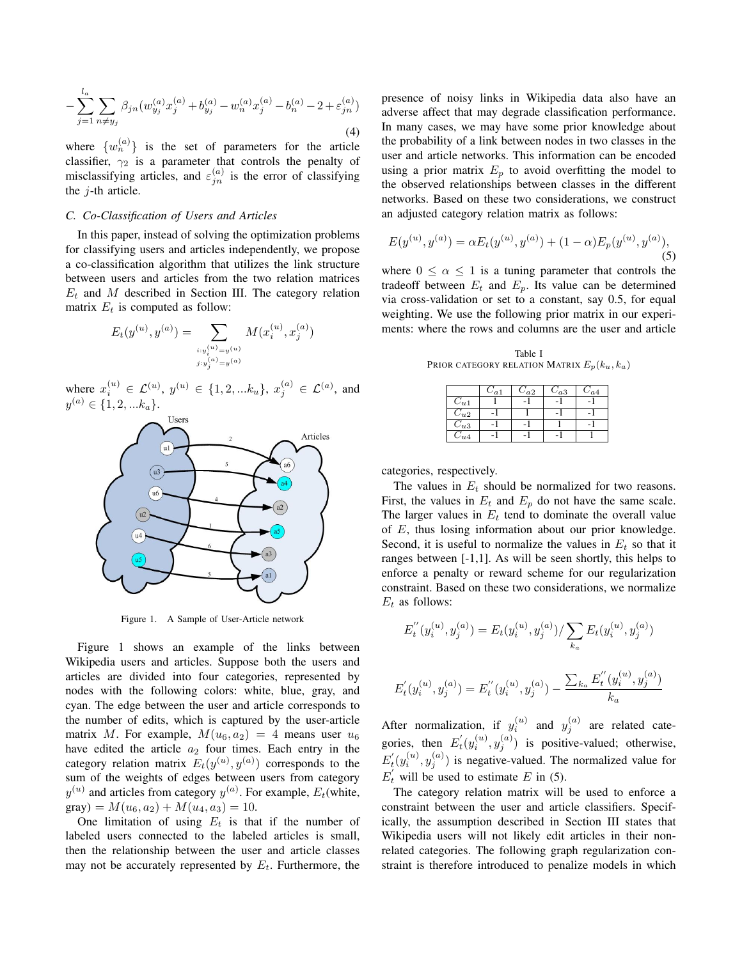$$
-\sum_{j=1}^{l_a} \sum_{n \neq y_j} \beta_{jn} (w_{y_j}^{(a)} x_j^{(a)} + b_{y_j}^{(a)} - w_n^{(a)} x_j^{(a)} - b_n^{(a)} - 2 + \varepsilon_{jn}^{(a)})
$$
\n(4)

where  $\{w_n^{(a)}\}$  is the set of parameters for the article classifier,  $\gamma_2$  is a parameter that controls the penalty of misclassifying articles, and  $\varepsilon_{jn}^{(a)}$  is the error of classifying the *j*-th article.

## *C. Co-Classification of Users and Articles*

In this paper, instead of solving the optimization problems for classifying users and articles independently, we propose a co-classification algorithm that utilizes the link structure between users and articles from the two relation matrices  $E_t$  and *M* described in Section III. The category relation matrix  $E_t$  is computed as follow:

$$
E_t(y^{(u)}, y^{(a)}) = \sum_{\substack{i:y_i^{(u)} = y^{(u)} \\ j:y_j^{(a)} = y^{(a)}}} M(x_i^{(u)}, x_j^{(a)})
$$

where  $x_i^{(u)} \in \mathcal{L}^{(u)}$ ,  $y^{(u)} \in \{1, 2, ...k_u\}$ ,  $x_j^{(a)} \in \mathcal{L}^{(a)}$ , and  $y^{(a)} \in \{1, 2, \ldots k_a\}.$ 



Figure 1. A Sample of User-Article network

Figure 1 shows an example of the links between Wikipedia users and articles. Suppose both the users and articles are divided into four categories, represented by nodes with the following colors: white, blue, gray, and cyan. The edge between the user and article corresponds to the number of edits, which is captured by the user-article matrix *M*. For example,  $M(u_6, a_2) = 4$  means user  $u_6$ have edited the article  $a_2$  four times. Each entry in the category relation matrix  $E_t(y^{(u)}, y^{(a)})$  corresponds to the sum of the weights of edges between users from category  $y^{(u)}$  and articles from category  $y^{(a)}$ . For example,  $E_t$  (white,  $gray) = M(u_6, a_2) + M(u_4, a_3) = 10.$ 

One limitation of using  $E_t$  is that if the number of labeled users connected to the labeled articles is small, then the relationship between the user and article classes may not be accurately represented by *Et*. Furthermore, the presence of noisy links in Wikipedia data also have an adverse affect that may degrade classification performance. In many cases, we may have some prior knowledge about the probability of a link between nodes in two classes in the user and article networks. This information can be encoded using a prior matrix  $E_p$  to avoid overfitting the model to the observed relationships between classes in the different networks. Based on these two considerations, we construct an adjusted category relation matrix as follows:

$$
E(y^{(u)}, y^{(a)}) = \alpha E_t(y^{(u)}, y^{(a)}) + (1 - \alpha) E_p(y^{(u)}, y^{(a)}),
$$
\n(5)

where  $0 \le \alpha \le 1$  is a tuning parameter that controls the tradeoff between  $E_t$  and  $E_p$ . Its value can be determined via cross-validation or set to a constant, say 0.5, for equal weighting. We use the following prior matrix in our experiments: where the rows and columns are the user and article

Table I PRIOR CATEGORY RELATION MATRIX  $E_p(k_u, k_a)$ 

|          | $C_{a1}$ | $C_{a2}$ | $C_{a3}$ | $C_{a4}$ |
|----------|----------|----------|----------|----------|
| $C_{u1}$ |          |          |          |          |
| $C_{u2}$ |          |          |          |          |
| $C_{u3}$ |          |          |          |          |
| $C_{u4}$ |          |          |          |          |

categories, respectively.

The values in *E<sup>t</sup>* should be normalized for two reasons. First, the values in  $E_t$  and  $E_p$  do not have the same scale. The larger values in  $E_t$  tend to dominate the overall value of *E*, thus losing information about our prior knowledge. Second, it is useful to normalize the values in  $E_t$  so that it ranges between [-1,1]. As will be seen shortly, this helps to enforce a penalty or reward scheme for our regularization constraint. Based on these two considerations, we normalize *E<sup>t</sup>* as follows:

$$
E_t''(y_i^{(u)}, y_j^{(a)}) = E_t(y_i^{(u)}, y_j^{(a)}) / \sum_{k_a} E_t(y_i^{(u)}, y_j^{(a)})
$$
  

$$
E_t'(y_i^{(u)}, y_j^{(a)}) = E_t''(y_i^{(u)}, y_j^{(a)}) - \frac{\sum_{k_a} E_t''(y_i^{(u)}, y_j^{(a)})}{k_a}
$$

After normalization, if  $y_i^{(u)}$  and  $y_j^{(a)}$  are related categories, then  $E'_t(y_i^{(u)}, y_j^{(a)})$  is positive-valued; otherwise,  $E'_{t}(y_i^{(u)}, y_j^{(a)})$  is negative-valued. The normalized value for  $E'_{t}$  will be used to estimate *E* in (5).

The category relation matrix will be used to enforce a constraint between the user and article classifiers. Specifically, the assumption described in Section III states that Wikipedia users will not likely edit articles in their nonrelated categories. The following graph regularization constraint is therefore introduced to penalize models in which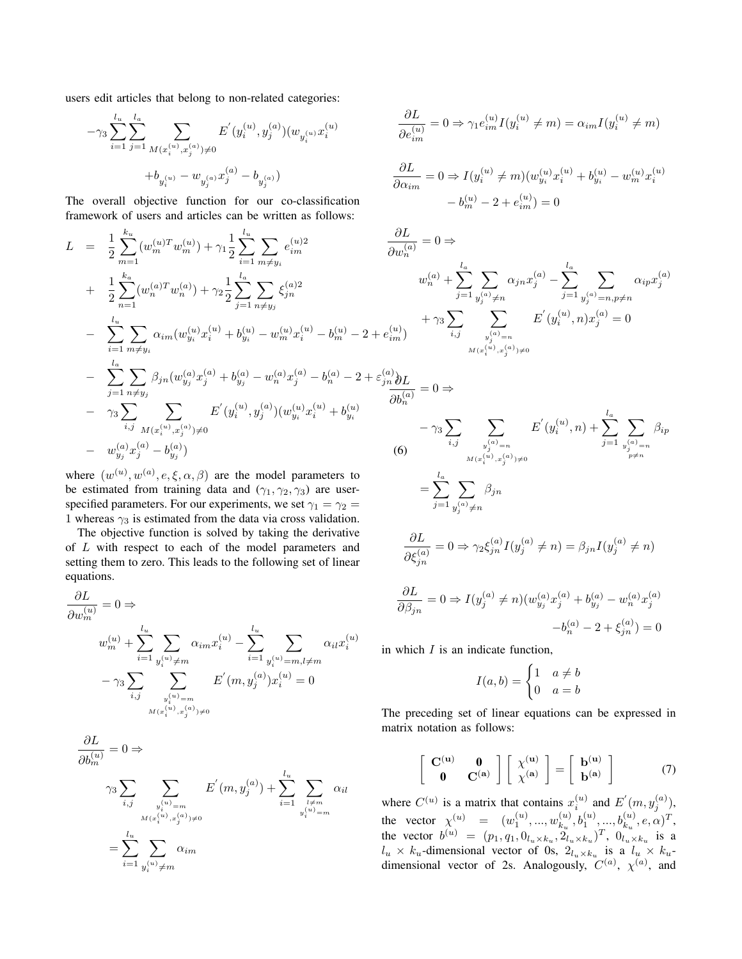users edit articles that belong to non-related categories:

$$
\begin{aligned}[t] -\gamma_3 \sum_{i=1}^{l_u}\sum_{j=1}^{l_a} \sum_{M(x_i^{(u)},x_j^{(a)})\neq 0} E^{'}(y_i^{(u)},y_j^{(a)}) (w_{y_i^{(u)}}x_i^{(u)} \\ +b_{y_i^{(u)}}-w_{y_j^{(a)}}x_j^{(a)}-b_{y_j^{(a)}}) \end{aligned}
$$

The overall objective function for our co-classification framework of users and articles can be written as follows:

$$
L = \frac{1}{2} \sum_{m=1}^{k_u} (w_m^{(u)T} w_m^{(u)}) + \gamma_1 \frac{1}{2} \sum_{i=1}^{l_u} \sum_{m \neq y_i} e_{im}^{(u)2} \qquad \frac{\partial L}{\partial w_n^{(a)}} = 0
$$
  
+ 
$$
\frac{1}{2} \sum_{n=1}^{k_a} (w_n^{(a)T} w_n^{(a)}) + \gamma_2 \frac{1}{2} \sum_{j=1}^{l_a} \sum_{n \neq y_j} \xi_{jn}^{(a)2} \qquad w_n^{(a)}
$$
  
- 
$$
\sum_{i=1}^{l_u} \sum_{m \neq y_i} \alpha_{im} (w_{y_i}^{(u)} x_i^{(u)} + b_{y_i}^{(u)} - w_m^{(u)} x_i^{(u)} - b_m^{(u)} - 2 + e_{im}^{(u)})
$$
  
- 
$$
\sum_{j=1}^{l_a} \sum_{n \neq y_j} \beta_{jn} (w_{y_j}^{(a)} x_j^{(a)} + b_{y_j}^{(a)} - w_n^{(a)} x_j^{(a)} - b_n^{(a)} - 2 + \varepsilon_{jn}^{(a)} \frac{\partial L}{\partial L}
$$
  
- 
$$
\gamma_3 \sum_{i,j} \sum_{M(x_i^{(u)}, x_j^{(a)}) \neq 0} E'(y_i^{(u)}, y_j^{(a)}) (w_{y_i}^{(u)} x_i^{(u)} + b_{y_i}^{(u)}
$$
  
- 
$$
\gamma_3 \sum_{j=1}^{l_a} \sum_{n \neq y_j} \sum_{j=1}^{l_a} \sum_{m \neq y_j} E'(y_i^{(u)}, y_j^{(a)}) (w_{y_i}^{(u)} x_i^{(u)} + b_{y_i}^{(u)}
$$
  
- 
$$
\gamma_3 \sum_{j=1}^{l_a} \sum_{m \neq y_j} \sum_{j=1}^{l_a} \beta_{j,n} (w_{y_j^{(a)}, y_j^{(a)})} (6)
$$

where  $(w^{(u)}, w^{(a)}, e, \xi, \alpha, \beta)$  are the model parameters to be estimated from training data and  $(\gamma_1, \gamma_2, \gamma_3)$  are userspecified parameters. For our experiments, we set  $\gamma_1 = \gamma_2 =$ 1 whereas  $\gamma_3$  is estimated from the data via cross validation.

The objective function is solved by taking the derivative of *L* with respect to each of the model parameters and setting them to zero. This leads to the following set of linear equations.

$$
\frac{\partial L}{\partial w_m^{(u)}} = 0 \Rightarrow
$$
\n
$$
w_m^{(u)} + \sum_{i=1}^{l_u} \sum_{y_i^{(u)} \neq m} \alpha_{im} x_i^{(u)} - \sum_{i=1}^{l_u} \sum_{y_i^{(u)} = m, l \neq m} \alpha_{il} x_i^{(u)}
$$
\n
$$
- \gamma_3 \sum_{i,j} \sum_{\substack{y_i^{(u)} = m \\ M(x_i^{(u)}, x_j^{(a)}) \neq 0}} E'(m, y_j^{(a)}) x_i^{(u)} = 0
$$

$$
\frac{\partial L}{\partial b_m^{(u)}} = 0 \Rightarrow
$$
\n
$$
\gamma_3 \sum_{i,j} \sum_{\substack{y_i^{(u)} = m \\ M(x_i^{(u)}, x_j^{(a)}) \neq 0}} E'(m, y_j^{(a)}) + \sum_{i=1}^{l_u} \sum_{\substack{y \neq m \\ y_i^{(u)} = m}} \alpha_{il}
$$
\n
$$
= \sum_{i=1}^{l_u} \sum_{\substack{y_i^{(u)} \neq m}} \alpha_{im}
$$

$$
\frac{\partial L}{\partial e_{im}^{(u)}} = 0 \Rightarrow \gamma_1 e_{im}^{(u)} I(y_i^{(u)} \neq m) = \alpha_{im} I(y_i^{(u)} \neq m)
$$

$$
\frac{\partial L}{\partial \alpha_{im}} = 0 \Rightarrow I(y_i^{(u)} \neq m)(w_{y_i}^{(u)} x_i^{(u)} + b_{y_i}^{(u)} - w_m^{(u)} x_i^{(u)} - b_m^{(u)} - 2 + e_{im}^{(u)}) = 0
$$

$$
\frac{\partial L}{\partial w_n^{(a)}} = 0 \Rightarrow
$$
\n
$$
w_n^{(a)} + \sum_{j=1}^{l_a} \sum_{\substack{y_j^{(a)} \neq n}} \alpha_{jn} x_j^{(a)} - \sum_{j=1}^{l_a} \sum_{\substack{y_j^{(a)} = n, p \neq n}} \alpha_{ip} x_j^{(a)}
$$
\n
$$
+ \gamma_3 \sum_{i,j} \sum_{\substack{y_j^{(a)} = n, p \neq n \\ M(x_i^{(u)}, x_j^{(a)}) \neq 0}} E'(y_i^{(u)}, n) x_j^{(a)} = 0
$$

$$
\frac{\partial L}{\partial b_n^{(a)}} = 0 \Rightarrow
$$
\n
$$
- \gamma_3 \sum_{i,j} \sum_{\substack{y_j^{(a)} = n \\ M(x_i^{(u)}, x_j^{(a)}) \neq 0}} E'(y_i^{(u)}, n) + \sum_{j=1}^{l_a} \sum_{\substack{y_j^{(a)} = n \\ p \neq n}} \beta_{ip}
$$
\n
$$
= \sum_{j=1}^{l_a} \sum_{y_j^{(a)} \neq n} \beta_{jn}
$$
\n
$$
\frac{\partial L}{\partial \xi_{jn}^{(a)}} = 0 \Rightarrow \gamma_2 \xi_{jn}^{(a)} I(y_j^{(a)} \neq n) = \beta_{jn} I(y_j^{(a)} \neq n)
$$
\n
$$
\frac{\partial L}{\partial \beta_{jn}} = 0 \Rightarrow I(y_j^{(a)} \neq n) (w_{y_j}^{(a)} x_j^{(a)} + b_{y_j}^{(a)} - w_n^{(a)} x_j^{(a)}
$$

in which *I* is an indicate function,

$$
I(a,b) = \begin{cases} 1 & a \neq b \\ 0 & a = b \end{cases}
$$

 $-b_n^{(a)} - 2 + \xi_{jn}^{(a)} = 0$ 

The preceding set of linear equations can be expressed in matrix notation as follows:

$$
\left[\begin{array}{cc} \mathbf{C}^{(\mathbf{u})} & \mathbf{0} \\ \mathbf{0} & \mathbf{C}^{(\mathbf{a})} \end{array}\right] \left[\begin{array}{c} \chi^{(\mathbf{u})} \\ \chi^{(\mathbf{a})} \end{array}\right] = \left[\begin{array}{c} \mathbf{b}^{(\mathbf{u})} \\ \mathbf{b}^{(\mathbf{a})} \end{array}\right] \tag{7}
$$

where  $C^{(u)}$  is a matrix that contains  $x_i^{(u)}$  and  $E'(m, y_j^{(a)})$ , the vector  $\chi^{(u)} = (w_1^{(u)}, ..., w_{k_u}^{(u)})$  $\binom{(u)}{k_u}, \binom{(u)}{1}, \ldots, \binom{(u)}{k_u}, e, \alpha)^T,$ the vector  $b^{(u)} = (p_1, q_1, 0_{l_u \times k_u}, 2_{l_u \times k_u})^T$ ,  $0_{l_u \times k_u}$  is a  $l_u \times k_u$ -dimensional vector of 0s,  $2l_u \times k_u$  is a  $l_u \times k_u$ dimensional vector of 2s. Analogously,  $C^{(a)}$ ,  $\chi^{(a)}$ , and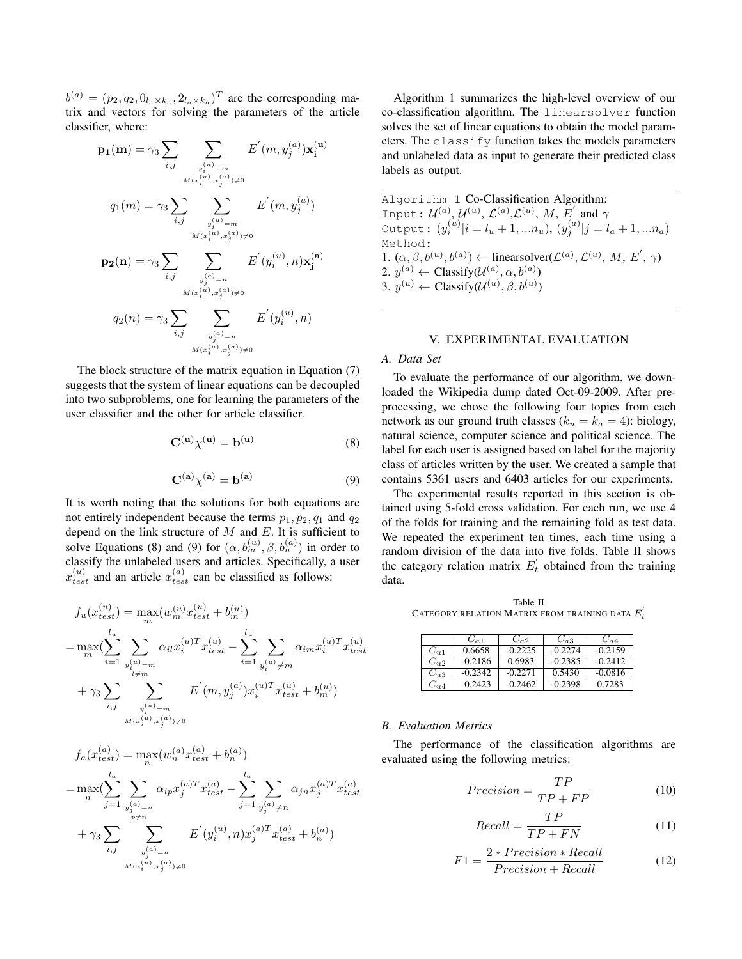$b^{(a)} = (p_2, q_2, 0_{l_a \times k_a}, 2_{l_a \times k_a})^T$  are the corresponding matrix and vectors for solving the parameters of the article classifier, where:

$$
\begin{aligned} \mathbf{p_1(m)} = \gamma_3 \sum_{i,j} \sum_{y_i^{(u)} = m \atop M(x_i^{(u)}, x_j^{(a)}) \neq 0} E'(m, y_j^{(a)}) \mathbf{x_i^{(u)}} \\ q_1(m) = \gamma_3 \sum_{i,j} \sum_{y_i^{(u)} = m \atop M(x_i^{(u)}, x_j^{(a)}) \neq 0} E'(m, y_j^{(a)}) \\ \mathbf{p_2(n)} = \gamma_3 \sum_{i,j} \sum_{y_j^{(a)} = n \atop M(x_i^{(u)}, x_j^{(a)}) \neq 0} E'(y_i^{(u)}, n) \mathbf{x_j^{(a)}} \\ q_2(n) = \gamma_3 \sum_{i,j} \sum_{y_j^{(a)} = n \atop M(x_i^{(u)}, x_j^{(a)}) \neq 0} E'(y_i^{(u)}, n) \end{aligned}
$$

The block structure of the matrix equation in Equation (7) suggests that the system of linear equations can be decoupled into two subproblems, one for learning the parameters of the user classifier and the other for article classifier.

$$
\mathbf{C}^{(\mathbf{u})}\chi^{(\mathbf{u})} = \mathbf{b}^{(\mathbf{u})} \tag{8}
$$

$$
\mathbf{C}^{(\mathbf{a})}\chi^{(\mathbf{a})} = \mathbf{b}^{(\mathbf{a})} \tag{9}
$$

It is worth noting that the solutions for both equations are not entirely independent because the terms  $p_1, p_2, q_1$  and  $q_2$ depend on the link structure of *M* and *E*. It is sufficient to solve Equations (8) and (9) for  $(\alpha, b_m^{(u)}, \beta, b_n^{(a)})$  in order to classify the unlabeled users and articles. Specifically, a user  $x_{test}^{(u)}$  and an article  $x_{test}^{(a)}$  can be classified as follows:

$$
f_u(x_{test}^{(u)}) = \max_m(w_m^{(u)} x_{test}^{(u)} + b_m^{(u)})
$$
  
\n
$$
= \max_m \sum_{i=1}^{\lfloor l_u \rfloor} \sum_{\substack{y_{i=1}^{(u)} = m \ y_{i \neq m}^{(u)}}} \alpha_{il} x_i^{(u)T} x_{test}^{(u)} - \sum_{i=1}^{\lfloor l_u \rfloor} \sum_{\substack{y_i^{(u)} \neq m \ y_i^{(u)} \neq m}} \alpha_{im} x_i^{(u)T} x_{test}^{(u)}
$$
  
\n
$$
+ \gamma_3 \sum_{i,j} \sum_{\substack{y_i^{(u)} = m \ y_i^{(u)} \neq m}} E'(m, y_j^{(a)}) x_i^{(u)T} x_{test}^{(u)} + b_m^{(u)})
$$

$$
f_a(x_{test}^{(a)}) = \max_n(w_n^{(a)} x_{test}^{(a)} + b_n^{(a)})
$$
  
\n
$$
= \max_n \left( \sum_{j=1}^{l_a} \sum_{y_j^{(a)}=n} \alpha_{ip} x_j^{(a)T} x_{test}^{(a)} - \sum_{j=1}^{l_a} \sum_{y_j^{(a)} \neq n} \alpha_{jn} x_j^{(a)T} x_{test}^{(a)}
$$
  
\n
$$
+ \gamma_3 \sum_{i,j} \sum_{\substack{y_j^{(a)}=n\\M(x_i^{(u)}, x_j^{(a)}) \neq 0}} E'(y_i^{(u)}, n) x_j^{(a)T} x_{test}^{(a)} + b_n^{(a)})
$$

Algorithm 1 summarizes the high-level overview of our co-classification algorithm. The linearsolver function solves the set of linear equations to obtain the model parameters. The classify function takes the models parameters and unlabeled data as input to generate their predicted class labels as output.

Algorithm 1 Co-Classification Algorithm: Input:  $\mathcal{U}^{(a)},\, \mathcal{U}^{(u)},\, \mathcal{L}^{(a)},\mathcal{L}^{(u)},\, M,\, E^{'}$  and  $\gamma$ Output:  $(y_i^{(u)}|i = l_u + 1, ... n_u), (y_j^{(a)}|j = l_a + 1, ... n_a)$ Method: 1.  $(\alpha, \beta, b^{(u)}, b^{(a)}) \leftarrow$  linearsolver( $\mathcal{L}^{(a)}, \mathcal{L}^{(u)}, M, E', \gamma$ ) 2.  $y^{(a)} \leftarrow \text{Classify}(\mathcal{U}^{(a)}, \alpha, b^{(a)})$ 3.  $y^{(u)} \leftarrow \text{Classify}(\mathcal{U}^{(u)}, \beta, b^{(u)})$ 

## V. EXPERIMENTAL EVALUATION

## *A. Data Set*

To evaluate the performance of our algorithm, we downloaded the Wikipedia dump dated Oct-09-2009. After preprocessing, we chose the following four topics from each network as our ground truth classes  $(k_u = k_a = 4)$ : biology, natural science, computer science and political science. The label for each user is assigned based on label for the majority class of articles written by the user. We created a sample that contains 5361 users and 6403 articles for our experiments.

The experimental results reported in this section is obtained using 5-fold cross validation. For each run, we use 4 of the folds for training and the remaining fold as test data. We repeated the experiment ten times, each time using a random division of the data into five folds. Table II shows the category relation matrix  $E'_t$  obtained from the training data.

Table II CATEGORY RELATION MATRIX FROM TRAINING DATA  $E_{t}^{'}$ 

|          | $C_{a1}$  | $C_{a2}$  | $C_{a3}$  | $C_{a4}$  |
|----------|-----------|-----------|-----------|-----------|
| $C_{u1}$ | 0.6658    | $-0.2225$ | $-0.2274$ | $-0.2159$ |
| $C_{u2}$ | $-0.2186$ | 0.6983    | $-0.2385$ | $-0.2412$ |
| $C_{u3}$ | $-0.2342$ | $-0.2271$ | 0.5430    | $-0.0816$ |
| $C_{u4}$ | $-0.2423$ | $-0.2462$ | $-0.2398$ | 0.7283    |

#### *B. Evaluation Metrics*

The performance of the classification algorithms are evaluated using the following metrics:

$$
Precision = \frac{TP}{TP + FP}
$$
 (10)

$$
Recall = \frac{TP}{TP + FN} \tag{11}
$$

$$
F1 = \frac{2 * Precision * Recall}{Precision + Recall}
$$
 (12)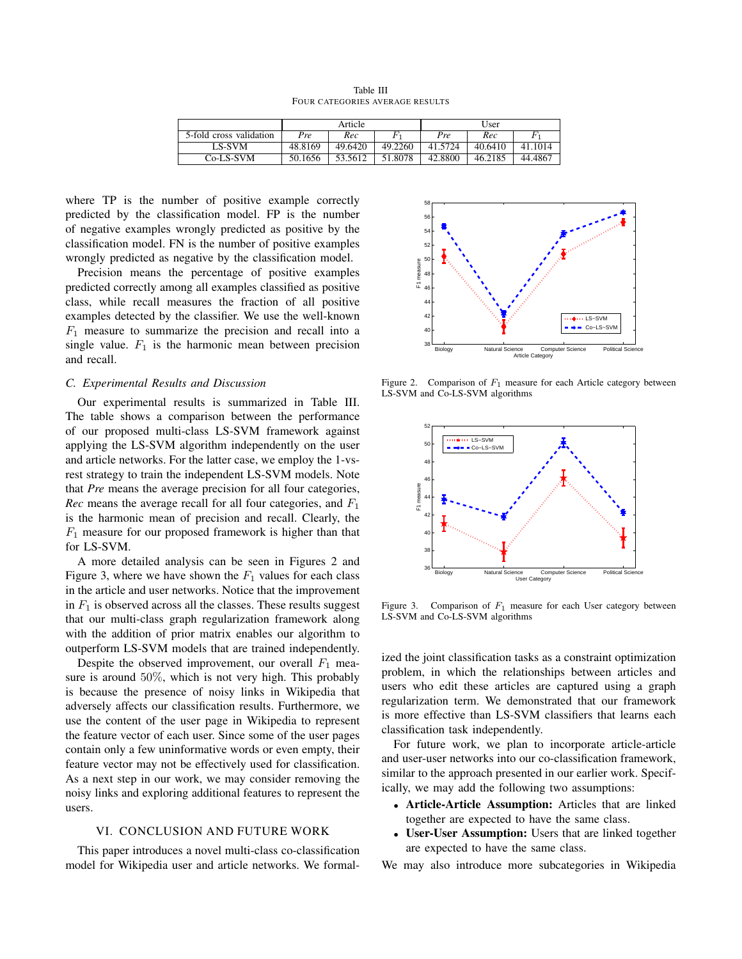|                         | Article |         |         | User    |         |         |
|-------------------------|---------|---------|---------|---------|---------|---------|
| 5-fold cross validation | Pre     | Rec     | F       | Pre     | Rec     |         |
| LS-SVM                  | 48.8169 | 49.6420 | 49.2260 | 41.5724 | 40.6410 | 41.1014 |
| Co-LS-SVM               | 50.1656 | 53.5612 | 51.8078 | 42.8800 | 46.2185 | 44.4867 |

Table III FOUR CATEGORIES AVERAGE RESULTS

where TP is the number of positive example correctly predicted by the classification model. FP is the number of negative examples wrongly predicted as positive by the classification model. FN is the number of positive examples wrongly predicted as negative by the classification model.

Precision means the percentage of positive examples predicted correctly among all examples classified as positive class, while recall measures the fraction of all positive examples detected by the classifier. We use the well-known *F*<sup>1</sup> measure to summarize the precision and recall into a single value.  $F_1$  is the harmonic mean between precision and recall.

#### *C. Experimental Results and Discussion*

Our experimental results is summarized in Table III. The table shows a comparison between the performance of our proposed multi-class LS-SVM framework against applying the LS-SVM algorithm independently on the user and article networks. For the latter case, we employ the 1-vsrest strategy to train the independent LS-SVM models. Note that *Pre* means the average precision for all four categories, *Rec* means the average recall for all four categories, and *F*<sup>1</sup> is the harmonic mean of precision and recall. Clearly, the *F*<sup>1</sup> measure for our proposed framework is higher than that for LS-SVM.

A more detailed analysis can be seen in Figures 2 and Figure 3, where we have shown the  $F_1$  values for each class in the article and user networks. Notice that the improvement in  $F_1$  is observed across all the classes. These results suggest that our multi-class graph regularization framework along with the addition of prior matrix enables our algorithm to outperform LS-SVM models that are trained independently.

Despite the observed improvement, our overall  $F_1$  measure is around 50%, which is not very high. This probably is because the presence of noisy links in Wikipedia that adversely affects our classification results. Furthermore, we use the content of the user page in Wikipedia to represent the feature vector of each user. Since some of the user pages contain only a few uninformative words or even empty, their feature vector may not be effectively used for classification. As a next step in our work, we may consider removing the noisy links and exploring additional features to represent the users.

## VI. CONCLUSION AND FUTURE WORK

This paper introduces a novel multi-class co-classification model for Wikipedia user and article networks. We formal-



Figure 2. Comparison of *F*<sup>1</sup> measure for each Article category between LS-SVM and Co-LS-SVM algorithms



Figure 3. Comparison of *F*<sup>1</sup> measure for each User category between LS-SVM and Co-LS-SVM algorithms

ized the joint classification tasks as a constraint optimization problem, in which the relationships between articles and users who edit these articles are captured using a graph regularization term. We demonstrated that our framework is more effective than LS-SVM classifiers that learns each classification task independently.

For future work, we plan to incorporate article-article and user-user networks into our co-classification framework, similar to the approach presented in our earlier work. Specifically, we may add the following two assumptions:

- *•* Article-Article Assumption: Articles that are linked together are expected to have the same class.
- *•* User-User Assumption: Users that are linked together are expected to have the same class.

We may also introduce more subcategories in Wikipedia